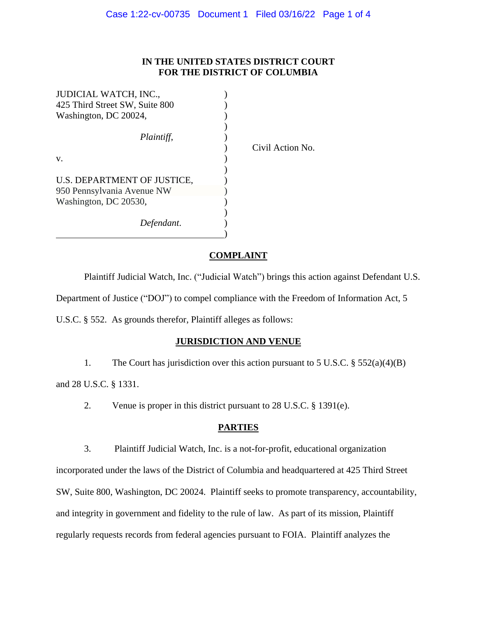## **IN THE UNITED STATES DISTRICT COURT FOR THE DISTRICT OF COLUMBIA**

| JUDICIAL WATCH, INC.,          |  |
|--------------------------------|--|
| 425 Third Street SW, Suite 800 |  |
| Washington, DC 20024,          |  |
|                                |  |
| Plaintiff,                     |  |
|                                |  |
| v.                             |  |
|                                |  |
| U.S. DEPARTMENT OF JUSTICE.    |  |
| 950 Pennsylvania Avenue NW     |  |
| Washington, DC 20530,          |  |
|                                |  |
| Defendant.                     |  |
|                                |  |

) Civil Action No.

# **COMPLAINT**

Plaintiff Judicial Watch, Inc. ("Judicial Watch") brings this action against Defendant U.S.

Department of Justice ("DOJ") to compel compliance with the Freedom of Information Act, 5

U.S.C. § 552. As grounds therefor, Plaintiff alleges as follows:

## **JURISDICTION AND VENUE**

1. The Court has jurisdiction over this action pursuant to 5 U.S.C. § 552(a)(4)(B)

and 28 U.S.C. § 1331.

2. Venue is proper in this district pursuant to 28 U.S.C. § 1391(e).

## **PARTIES**

3. Plaintiff Judicial Watch, Inc. is a not-for-profit, educational organization

incorporated under the laws of the District of Columbia and headquartered at 425 Third Street SW, Suite 800, Washington, DC 20024. Plaintiff seeks to promote transparency, accountability, and integrity in government and fidelity to the rule of law. As part of its mission, Plaintiff regularly requests records from federal agencies pursuant to FOIA. Plaintiff analyzes the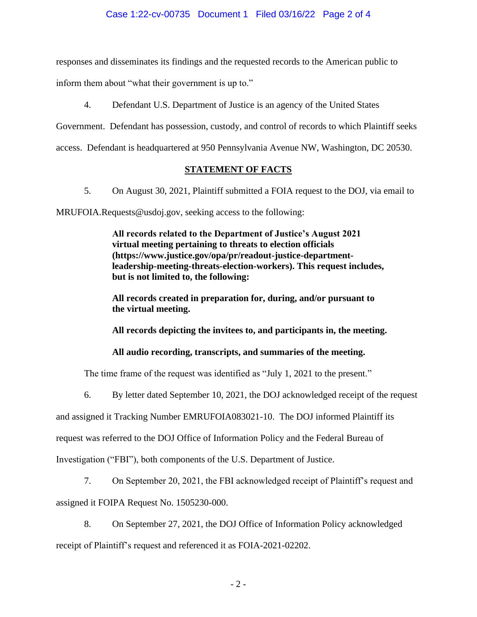responses and disseminates its findings and the requested records to the American public to

inform them about "what their government is up to."

4. Defendant U.S. Department of Justice is an agency of the United States

Government. Defendant has possession, custody, and control of records to which Plaintiff seeks

access. Defendant is headquartered at 950 Pennsylvania Avenue NW, Washington, DC 20530.

# **STATEMENT OF FACTS**

5. On August 30, 2021, Plaintiff submitted a FOIA request to the DOJ, via email to

MRUFOIA.Requests@usdoj.gov, seeking access to the following:

**All records related to the Department of Justice's August 2021 virtual meeting pertaining to threats to election officials (https://www.justice.gov/opa/pr/readout-justice-departmentleadership-meeting-threats-election-workers). This request includes, but is not limited to, the following:**

**All records created in preparation for, during, and/or pursuant to the virtual meeting.**

**All records depicting the invitees to, and participants in, the meeting.**

**All audio recording, transcripts, and summaries of the meeting.**

The time frame of the request was identified as "July 1, 2021 to the present."

6. By letter dated September 10, 2021, the DOJ acknowledged receipt of the request

and assigned it Tracking Number EMRUFOIA083021-10. The DOJ informed Plaintiff its

request was referred to the DOJ Office of Information Policy and the Federal Bureau of

Investigation ("FBI"), both components of the U.S. Department of Justice.

7. On September 20, 2021, the FBI acknowledged receipt of Plaintiff's request and assigned it FOIPA Request No. 1505230-000.

8. On September 27, 2021, the DOJ Office of Information Policy acknowledged receipt of Plaintiff's request and referenced it as FOIA-2021-02202.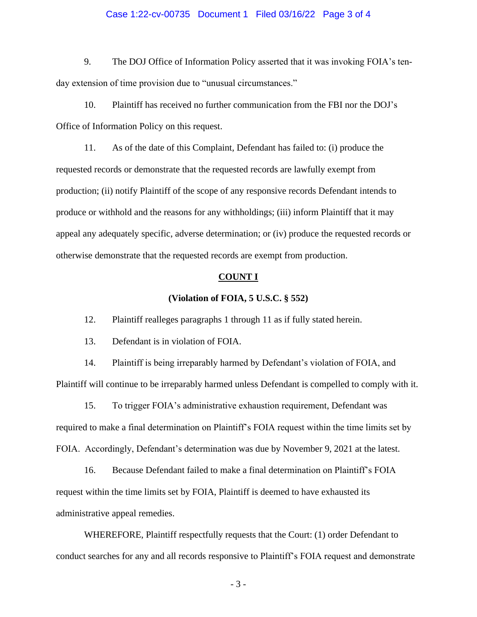### Case 1:22-cv-00735 Document 1 Filed 03/16/22 Page 3 of 4

9. The DOJ Office of Information Policy asserted that it was invoking FOIA's tenday extension of time provision due to "unusual circumstances."

10. Plaintiff has received no further communication from the FBI nor the DOJ's Office of Information Policy on this request.

11. As of the date of this Complaint, Defendant has failed to: (i) produce the requested records or demonstrate that the requested records are lawfully exempt from production; (ii) notify Plaintiff of the scope of any responsive records Defendant intends to produce or withhold and the reasons for any withholdings; (iii) inform Plaintiff that it may appeal any adequately specific, adverse determination; or (iv) produce the requested records or otherwise demonstrate that the requested records are exempt from production.

#### **COUNT I**

#### **(Violation of FOIA, 5 U.S.C. § 552)**

12. Plaintiff realleges paragraphs 1 through 11 as if fully stated herein.

13. Defendant is in violation of FOIA.

14. Plaintiff is being irreparably harmed by Defendant's violation of FOIA, and Plaintiff will continue to be irreparably harmed unless Defendant is compelled to comply with it.

15. To trigger FOIA's administrative exhaustion requirement, Defendant was required to make a final determination on Plaintiff's FOIA request within the time limits set by FOIA. Accordingly, Defendant's determination was due by November 9, 2021 at the latest.

16. Because Defendant failed to make a final determination on Plaintiff's FOIA request within the time limits set by FOIA, Plaintiff is deemed to have exhausted its administrative appeal remedies.

WHEREFORE, Plaintiff respectfully requests that the Court: (1) order Defendant to conduct searches for any and all records responsive to Plaintiff's FOIA request and demonstrate

- 3 -